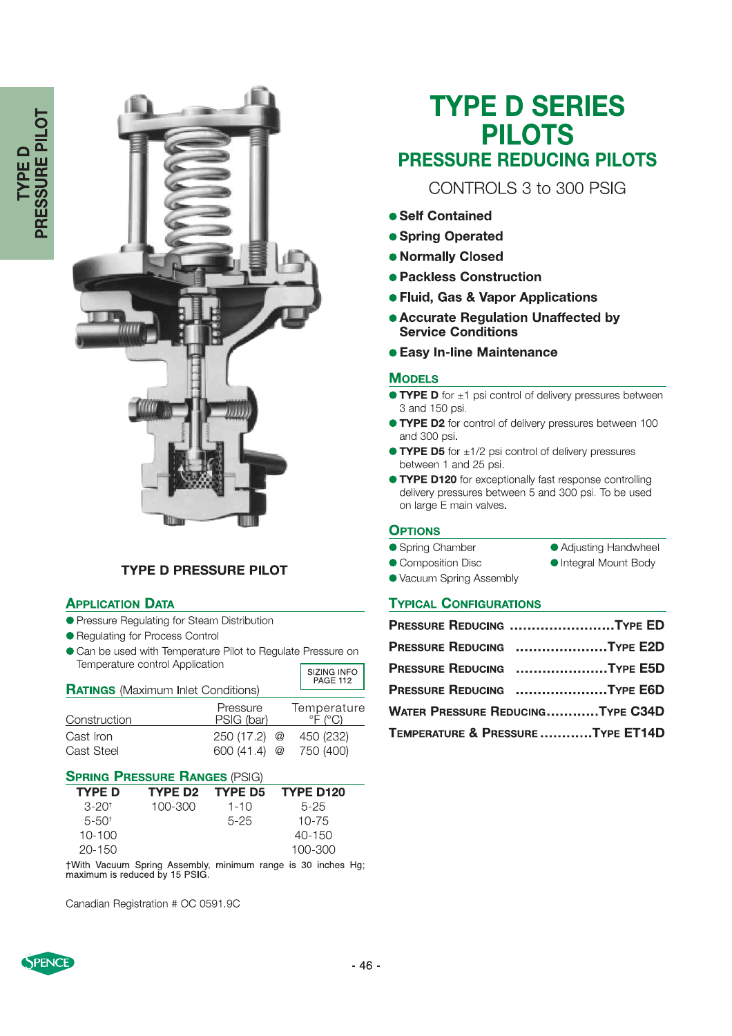

### **TYPE D PRESSURE PILOT**

#### **APPLICATION DATA**

Cast Iron

Cast Steel

- Pressure Regulating for Steam Distribution
- Requlating for Process Control
- Can be used with Temperature Pilot to Regulate Pressure on Temperature control Application SIZING INFO

| <b>RATINGS</b> (Maximum Inlet Conditions) | PAGE 112               |                        |
|-------------------------------------------|------------------------|------------------------|
| Construction                              | Pressure<br>PSIG (bar) | Temperature<br>°F /°C) |

#### **SPRING PRESSURE RANGES (PSIG)**

| $J$ in the second intringed $\mu$ or $\mu$ |                 |          |            |  |  |
|--------------------------------------------|-----------------|----------|------------|--|--|
| <b>TYPE D</b>                              | TYPE D2 TYPE D5 |          | TYPE D120  |  |  |
| $3 - 20^{+}$                               | 100-300         | $1 - 10$ | $5-25$     |  |  |
| $5 - 50^+$                                 |                 | $5 - 25$ | $10 - 75$  |  |  |
| $10 - 100$                                 |                 |          | $40 - 150$ |  |  |
| $20 - 150$                                 |                 |          | 100-300    |  |  |
|                                            |                 |          |            |  |  |

250 (17.2) @

600 (41.4) @

450 (232)

750 (400)

†With Vacuum Spring Assembly, minimum range is 30 inches Hg;<br>maximum is reduced by 15 PSIG.

Canadian Registration # OC 0591.9C

# **TYPE D SERIES PILOTS PRESSURE REDUCING PILOTS**

CONTROLS 3 to 300 PSIG

- Self Contained
- Spring Operated
- Normally Closed
- Packless Construction
- **Fluid, Gas & Vapor Applications**
- **.** Accurate Regulation Unaffected by **Service Conditions**
- **Easy In-line Maintenance**

#### **MODELS**

- $\bullet$  TYPE D for  $\pm 1$  psi control of delivery pressures between 3 and 150 psi.
- **TYPE D2** for control of delivery pressures between 100 and 300 psi.
- $\bullet$  TYPE D5 for  $\pm 1/2$  psi control of delivery pressures between 1 and 25 psi.
- **TYPE D120** for exceptionally fast response controlling delivery pressures between 5 and 300 psi. To be used on large E main valves.

#### **OPTIONS**

- Spring Chamber
- Adjusting Handwheel Integral Mount Body
- Composition Disc ● Vacuum Spring Assembly

## **TYPICAL CONFIGURATIONS**

|                                   | PRESSURE REDUCING TYPE ED               |
|-----------------------------------|-----------------------------------------|
|                                   | PRESSURE REDUCING TYPE E2D              |
|                                   | PRESSURE REDUCING TYPE E5D              |
|                                   | PRESSURE REDUCING TYPE E6D              |
|                                   | <b>WATER PRESSURE REDUCINGTYPE C34D</b> |
| TEMPERATURE & PRESSURE TYPE ET14D |                                         |